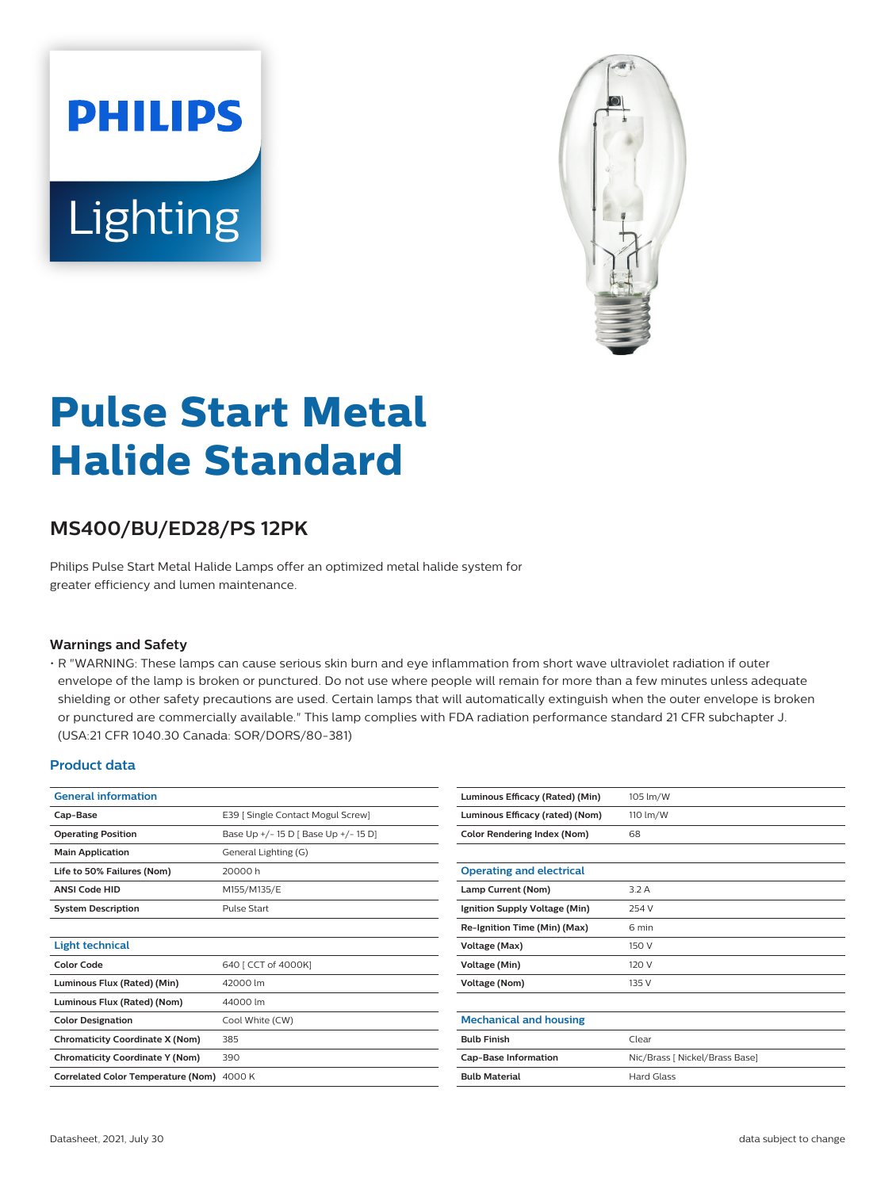# **PHILIPS** Lighting



## **Pulse Start Metal Halide Standard**

### **MS400/BU/ED28/PS 12PK**

Philips Pulse Start Metal Halide Lamps offer an optimized metal halide system for greater efficiency and lumen maintenance.

#### **Warnings and Safety**

• R "WARNING: These lamps can cause serious skin burn and eye inflammation from short wave ultraviolet radiation if outer envelope of the lamp is broken or punctured. Do not use where people will remain for more than a few minutes unless adequate shielding or other safety precautions are used. Certain lamps that will automatically extinguish when the outer envelope is broken or punctured are commercially available." This lamp complies with FDA radiation performance standard 21 CFR subchapter J. (USA:21 CFR 1040.30 Canada: SOR/DORS/80-381)

#### **Product data**

| <b>General information</b>                |                                      |  |
|-------------------------------------------|--------------------------------------|--|
| Cap-Base                                  | E39 [ Single Contact Mogul Screw]    |  |
| <b>Operating Position</b>                 | Base Up +/- 15 D   Base Up +/- 15 D] |  |
| <b>Main Application</b>                   | General Lighting (G)                 |  |
| Life to 50% Failures (Nom)                | 20000h                               |  |
| <b>ANSI Code HID</b>                      | M155/M135/E                          |  |
| <b>System Description</b>                 | Pulse Start                          |  |
|                                           |                                      |  |
| <b>Light technical</b>                    |                                      |  |
| <b>Color Code</b>                         | 640 [ CCT of 4000K]                  |  |
| Luminous Flux (Rated) (Min)               | 42000 lm                             |  |
| Luminous Flux (Rated) (Nom)               | 44000 lm                             |  |
| <b>Color Designation</b>                  | Cool White (CW)                      |  |
| <b>Chromaticity Coordinate X (Nom)</b>    | 385                                  |  |
| <b>Chromaticity Coordinate Y (Nom)</b>    | 390                                  |  |
| <b>Correlated Color Temperature (Nom)</b> | 4000 K                               |  |

| Luminous Efficacy (Rated) (Min) | 105 lm/W                       |
|---------------------------------|--------------------------------|
| Luminous Efficacy (rated) (Nom) | 110 lm/W                       |
| Color Rendering Index (Nom)     | 68                             |
|                                 |                                |
| <b>Operating and electrical</b> |                                |
| Lamp Current (Nom)              | 3.2A                           |
| Ignition Supply Voltage (Min)   | 254 V                          |
| Re-Ignition Time (Min) (Max)    | 6 min                          |
| Voltage (Max)                   | 150 V                          |
| Voltage (Min)                   | 120 V                          |
| <b>Voltage (Nom)</b>            | 135 V                          |
|                                 |                                |
| <b>Mechanical and housing</b>   |                                |
| <b>Bulb Finish</b>              | Clear                          |
| <b>Cap-Base Information</b>     | Nic/Brass [ Nickel/Brass Base] |
| <b>Bulb Material</b>            | <b>Hard Glass</b>              |
|                                 |                                |